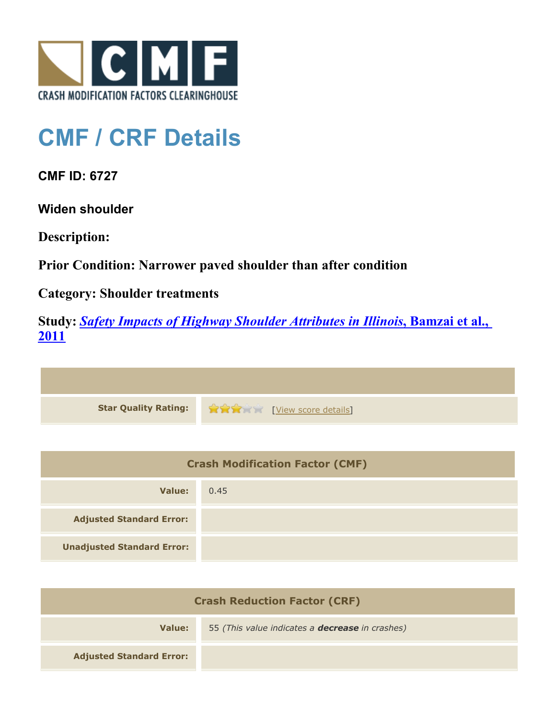

## **CMF / CRF Details**

**CMF ID: 6727**

**Widen shoulder**

**Description:** 

**Prior Condition: Narrower paved shoulder than after condition**

**Category: Shoulder treatments**

**Study:** *[Safety Impacts of Highway Shoulder Attributes in Illinois](http://www.cmfclearinghouse.org/study_detail.cfm?stid=404)***[, Bamzai et al.,](http://www.cmfclearinghouse.org/study_detail.cfm?stid=404) [2011](http://www.cmfclearinghouse.org/study_detail.cfm?stid=404)**



| <b>Crash Modification Factor (CMF)</b> |      |
|----------------------------------------|------|
| Value:                                 | 0.45 |
| <b>Adjusted Standard Error:</b>        |      |
| <b>Unadjusted Standard Error:</b>      |      |

| <b>Crash Reduction Factor (CRF)</b> |                                                        |
|-------------------------------------|--------------------------------------------------------|
| Value:                              | 55 (This value indicates a <b>decrease</b> in crashes) |
| <b>Adjusted Standard Error:</b>     |                                                        |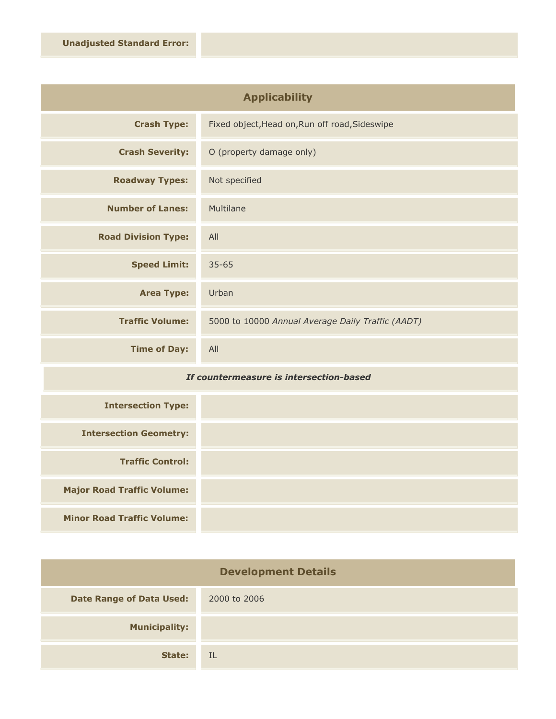| <b>Applicability</b>       |                                                   |
|----------------------------|---------------------------------------------------|
| <b>Crash Type:</b>         | Fixed object, Head on, Run off road, Sideswipe    |
| <b>Crash Severity:</b>     | O (property damage only)                          |
| <b>Roadway Types:</b>      | Not specified                                     |
| <b>Number of Lanes:</b>    | Multilane                                         |
| <b>Road Division Type:</b> | All                                               |
| <b>Speed Limit:</b>        | $35 - 65$                                         |
| <b>Area Type:</b>          | Urban                                             |
| <b>Traffic Volume:</b>     | 5000 to 10000 Annual Average Daily Traffic (AADT) |
| <b>Time of Day:</b>        | All                                               |

## *If countermeasure is intersection-based*

| <b>Intersection Type:</b>         |  |
|-----------------------------------|--|
| <b>Intersection Geometry:</b>     |  |
| <b>Traffic Control:</b>           |  |
| <b>Major Road Traffic Volume:</b> |  |
| <b>Minor Road Traffic Volume:</b> |  |

| <b>Development Details</b>      |              |
|---------------------------------|--------------|
| <b>Date Range of Data Used:</b> | 2000 to 2006 |
| <b>Municipality:</b>            |              |
| State:                          | -IL          |